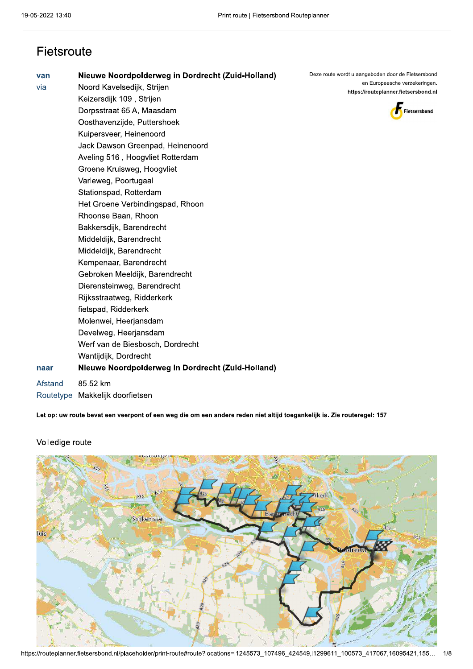| Fietsroute         |                                                                                                                                                                                                                                                                                                                                                                                                                                                                                                                                                                                                                                                                                                                                                                                                                              |                                                                                                                                             |
|--------------------|------------------------------------------------------------------------------------------------------------------------------------------------------------------------------------------------------------------------------------------------------------------------------------------------------------------------------------------------------------------------------------------------------------------------------------------------------------------------------------------------------------------------------------------------------------------------------------------------------------------------------------------------------------------------------------------------------------------------------------------------------------------------------------------------------------------------------|---------------------------------------------------------------------------------------------------------------------------------------------|
| van<br>via<br>naar | Nieuwe Noordpolderweg in Dordrecht (Zuid-Holland)<br>Noord Kavelsedijk, Strijen<br>Keizersdijk 109, Strijen<br>Dorpsstraat 65 A, Maasdam<br>Oosthavenzijde, Puttershoek<br>Kuipersveer, Heinenoord<br>Jack Dawson Greenpad, Heinenoord<br>Aveling 516, Hoogvliet Rotterdam<br>Groene Kruisweg, Hoogvliet<br>Varleweg, Poortugaal<br>Stationspad, Rotterdam<br>Het Groene Verbindingspad, Rhoon<br>Rhoonse Baan, Rhoon<br>Bakkersdijk, Barendrecht<br>Middeldijk, Barendrecht<br>Middeldijk, Barendrecht<br>Kempenaar, Barendrecht<br>Gebroken Meeldijk, Barendrecht<br>Dierensteinweg, Barendrecht<br>Rijksstraatweg, Ridderkerk<br>fietspad, Ridderkerk<br>Molenwei, Heerjansdam<br>Develweg, Heerjansdam<br>Werf van de Biesbosch, Dordrecht<br>Wantijdijk, Dordrecht<br>Nieuwe Noordpolderweg in Dordrecht (Zuid-Holland) | Deze route wordt u aangeboden door de Fietsersbond<br>en Europeesche verzekeringen.<br>https://routeplanner.fietsersbond.nl<br>Fietsersbond |
| Afstand            | 85.52 km<br>Routetype Makkelijk doorfietsen                                                                                                                                                                                                                                                                                                                                                                                                                                                                                                                                                                                                                                                                                                                                                                                  |                                                                                                                                             |
|                    |                                                                                                                                                                                                                                                                                                                                                                                                                                                                                                                                                                                                                                                                                                                                                                                                                              |                                                                                                                                             |

Let op: uw route bevat een veerpont of een weg die om een andere reden niet altijd toegankelijk is. Zie routeregel: 157



## Volledige route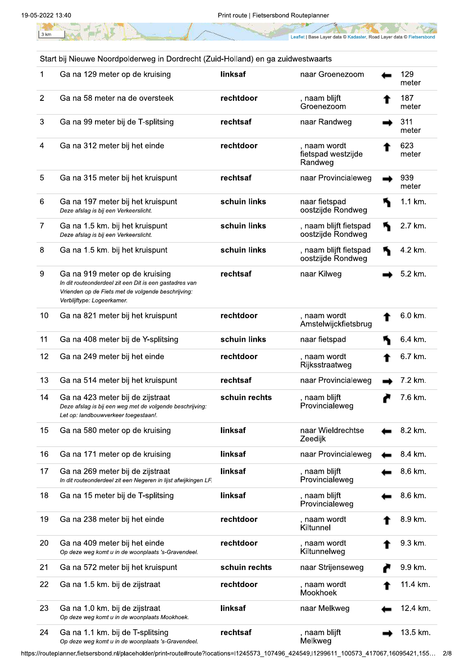$3 km$ 

Leaflet | Base Layer data © Kadaster, Road Layer data © Fietsersbond

|                | Start bij Nieuwe Noordpolderweg in Dordrecht (Zuid-Holland) en ga zuidwestwaarts                                                                                            |               |                                               |              |
|----------------|-----------------------------------------------------------------------------------------------------------------------------------------------------------------------------|---------------|-----------------------------------------------|--------------|
| 1              | Ga na 129 meter op de kruising                                                                                                                                              | linksaf       | naar Groenezoom                               | 129<br>meter |
| $\overline{2}$ | Ga na 58 meter na de oversteek                                                                                                                                              | rechtdoor     | , naam blijft<br>Groenezoom                   | 187<br>meter |
| 3              | Ga na 99 meter bij de T-splitsing                                                                                                                                           | rechtsaf      | naar Randweg                                  | 311<br>meter |
| 4              | Ga na 312 meter bij het einde                                                                                                                                               | rechtdoor     | , naam wordt<br>fietspad westzijde<br>Randweg | 623<br>meter |
| 5              | Ga na 315 meter bij het kruispunt                                                                                                                                           | rechtsaf      | naar Provincialeweg                           | 939<br>meter |
| 6              | Ga na 197 meter bij het kruispunt<br>Deze afslag is bij een Verkeerslicht.                                                                                                  | schuin links  | naar fietspad<br>oostzijde Rondweg            | 1.1 km.      |
| 7              | Ga na 1.5 km. bij het kruispunt<br>Deze afslag is bij een Verkeerslicht.                                                                                                    | schuin links  | , naam blijft fietspad<br>oostzijde Rondweg   | 2.7 km.      |
| 8              | Ga na 1.5 km. bij het kruispunt                                                                                                                                             | schuin links  | , naam blijft fietspad<br>oostzijde Rondweg   | 4.2 km.      |
| 9              | Ga na 919 meter op de kruising<br>In dit routeonderdeel zit een Dit is een gastadres van<br>Vrienden op de Fiets met de volgende beschrijving:<br>Verblijftype: Logeerkamer | rechtsaf      | naar Kilweg                                   | 5.2 km.      |
| 10             | Ga na 821 meter bij het kruispunt                                                                                                                                           | rechtdoor     | , naam wordt<br>Amstelwijckfietsbrug          | 6.0 km.      |
| 11             | Ga na 408 meter bij de Y-splitsing                                                                                                                                          | schuin links  | naar fietspad                                 | 6.4 km.      |
| 12             | Ga na 249 meter bij het einde                                                                                                                                               | rechtdoor     | , naam wordt<br>Rijksstraatweg                | 6.7 km.      |
| 13             | Ga na 514 meter bij het kruispunt                                                                                                                                           | rechtsaf      | naar Provincialeweg                           | 7.2 km.      |
| 14             | Ga na 423 meter bij de zijstraat<br>Deze afslag is bij een weg met de volgende beschrijving:<br>Let op: landbouwverkeer toegestaan!.                                        | schuin rechts | , naam blijft<br>Provincialeweg               | 7.6 km.      |
| 15             | Ga na 580 meter op de kruising                                                                                                                                              | linksaf       | naar Wieldrechtse<br>Zeedijk                  | 8.2 km.      |
| 16             | Ga na 171 meter op de kruising                                                                                                                                              | linksaf       | naar Provincialeweg                           | 8.4 km.      |
| 17             | Ga na 269 meter bij de zijstraat<br>In dit routeonderdeel zit een Negeren in lijst afwijkingen LF.                                                                          | linksaf       | , naam blijft<br>Provincialeweg               | 8.6 km.      |
| 18             | Ga na 15 meter bij de T-splitsing                                                                                                                                           | linksaf       | , naam blijft<br>Provincialeweg               | 8.6 km.      |
| 19             | Ga na 238 meter bij het einde                                                                                                                                               | rechtdoor     | , naam wordt<br>Kiltunnel                     | 8.9 km.      |
| 20             | Ga na 409 meter bij het einde<br>Op deze weg komt u in de woonplaats 's-Gravendeel.                                                                                         | rechtdoor     | , naam wordt<br>Kiltunnelweg                  | 9.3 km.      |
| 21             | Ga na 572 meter bij het kruispunt                                                                                                                                           | schuin rechts | naar Strijenseweg                             | 9.9 km.      |
| 22             | Ga na 1.5 km. bij de zijstraat                                                                                                                                              | rechtdoor     | , naam wordt<br>Mookhoek                      | 11.4 km.     |
| 23             | Ga na 1.0 km. bij de zijstraat<br>Op deze weg komt u in de woonplaats Mookhoek.                                                                                             | linksaf       | naar Melkweg                                  | 12.4 km.     |
| 24             | Ga na 1.1 km. bij de T-splitsing<br>Op deze weg komt u in de woonplaats 's-Gravendeel.                                                                                      | rechtsaf      | , naam blijft<br>Melkweg                      | 13.5 km.     |

Ga na 1.1 km. bij de T-splitsing<br>Op deze weg komt u in de woonplaats 's-Gravendeel.

https://routeplanner.fietsersbond.nl/placeholder/print-route#route?locations=l1245573\_107496\_424549,l1299611\_100573\_417067,16095421,155... 2/8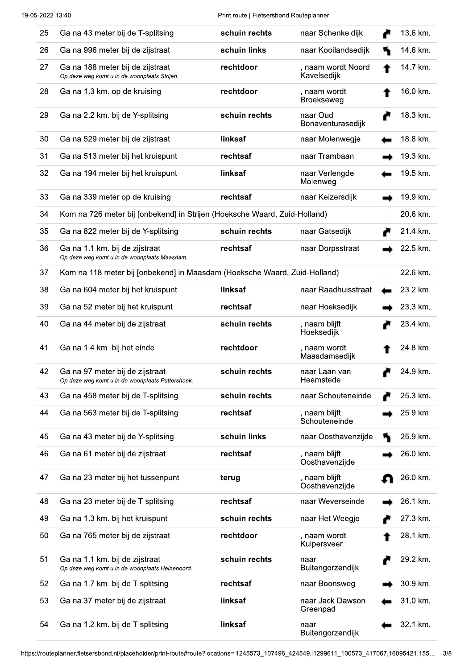Print route | Fietsersbond Routeplanner

| 25 | Ga na 43 meter bij de T-splitsing                                                   | schuin rechts | naar Schenkeldijk                 | 13.6 km. |
|----|-------------------------------------------------------------------------------------|---------------|-----------------------------------|----------|
| 26 | Ga na 996 meter bij de zijstraat                                                    | schuin links  | naar Kooilandsedijk               | 14.6 km. |
| 27 | Ga na 188 meter bij de zijstraat<br>Op deze weg komt u in de woonplaats Strijen.    | rechtdoor     | , naam wordt Noord<br>Kavelsedijk | 14.7 km. |
| 28 | Ga na 1.3 km. op de kruising                                                        | rechtdoor     | , naam wordt<br><b>Broekseweg</b> | 16.0 km. |
| 29 | Ga na 2.2 km. bij de Y-splitsing                                                    | schuin rechts | naar Oud<br>Bonaventurasedijk     | 18.3 km. |
| 30 | Ga na 529 meter bij de zijstraat                                                    | linksaf       | naar Molenwegje                   | 18.8 km. |
| 31 | Ga na 513 meter bij het kruispunt                                                   | rechtsaf      | naar Trambaan                     | 19.3 km. |
| 32 | Ga na 194 meter bij het kruispunt                                                   | linksaf       | naar Verlengde<br>Molenweg        | 19.5 km. |
| 33 | Ga na 339 meter op de kruising                                                      | rechtsaf      | naar Keizersdijk                  | 19.9 km. |
| 34 | Kom na 726 meter bij [onbekend] in Strijen (Hoeksche Waard, Zuid-Holland)           |               |                                   | 20.6 km. |
| 35 | Ga na 822 meter bij de Y-splitsing                                                  | schuin rechts | naar Gatsedijk                    | 21.4 km. |
| 36 | Ga na 1.1 km. bij de zijstraat<br>Op deze weg komt u in de woonplaats Maasdam.      | rechtsaf      | naar Dorpsstraat                  | 22.5 km. |
| 37 | Kom na 118 meter bij [onbekend] in Maasdam (Hoeksche Waard, Zuid-Holland)           |               |                                   | 22.6 km. |
| 38 | Ga na 604 meter bij het kruispunt                                                   | linksaf       | naar Raadhuisstraat               | 23.2 km. |
| 39 | Ga na 52 meter bij het kruispunt                                                    | rechtsaf      | naar Hoeksedijk                   | 23.3 km. |
| 40 | Ga na 44 meter bij de zijstraat                                                     | schuin rechts | , naam blijft<br>Hoeksedijk       | 23.4 km. |
| 41 | Ga na 1.4 km. bij het einde                                                         | rechtdoor     | , naam wordt<br>Maasdamsedijk     | 24.8 km. |
| 42 | Ga na 97 meter bij de zijstraat<br>Op deze weg komt u in de woonplaats Puttershoek. | schuin rechts | naar Laan van<br>Heemstede        | 24.9 km. |
| 43 | Ga na 458 meter bij de T-splitsing                                                  | schuin rechts | naar Schouteneinde                | 25.3 km. |
| 44 | Ga na 563 meter bij de T-splitsing                                                  | rechtsaf      | , naam blijft<br>Schouteneinde    | 25.9 km. |
| 45 | Ga na 43 meter bij de Y-splitsing                                                   | schuin links  | naar Oosthavenzijde               | 25.9 km. |
| 46 | Ga na 61 meter bij de zijstraat                                                     | rechtsaf      | , naam blijft<br>Oosthavenzijde   | 26.0 km. |
| 47 | Ga na 23 meter bij het tussenpunt                                                   | terug         | , naam blijft<br>Oosthavenzijde   | 26.0 km. |
| 48 | Ga na 23 meter bij de T-splitsing                                                   | rechtsaf      | naar Weverseinde                  | 26.1 km. |
| 49 | Ga na 1.3 km. bij het kruispunt                                                     | schuin rechts | naar Het Weegje                   | 27.3 km. |
| 50 | Ga na 765 meter bij de zijstraat                                                    | rechtdoor     | , naam wordt<br>Kuipersveer       | 28.1 km. |
| 51 | Ga na 1.1 km. bij de zijstraat<br>Op deze weg komt u in de woonplaats Heinenoord.   | schuin rechts | naar<br>Buitengorzendijk          | 29.2 km. |
| 52 | Ga na 1.7 km. bij de T-splitsing                                                    | rechtsaf      | naar Boonsweg                     | 30.9 km. |
| 53 | Ga na 37 meter bij de zijstraat                                                     | linksaf       | naar Jack Dawson<br>Greenpad      | 31.0 km. |
| 54 | Ga na 1.2 km. bij de T-splitsing                                                    | linksaf       | naar<br>Buitengorzendijk          | 32.1 km. |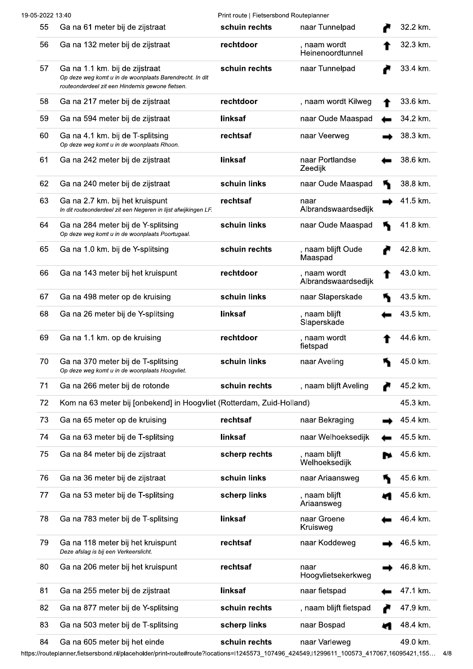| 19-05-2022 13:40 |                                                                                                                                                                           | Print route   Fietsersbond Routeplanner |                                     |          |
|------------------|---------------------------------------------------------------------------------------------------------------------------------------------------------------------------|-----------------------------------------|-------------------------------------|----------|
| 55               | Ga na 61 meter bij de zijstraat                                                                                                                                           | schuin rechts                           | naar Tunnelpad                      | 32.2 km. |
| 56               | Ga na 132 meter bij de zijstraat                                                                                                                                          | rechtdoor                               | , naam wordt<br>Heinenoordtunnel    | 32.3 km. |
| 57               | Ga na 1.1 km. bij de zijstraat<br>Op deze weg komt u in de woonplaats Barendrecht. In dit<br>routeonderdeel zit een Hindernis gewone fietsen.                             | schuin rechts                           | naar Tunnelpad                      | 33.4 km. |
| 58               | Ga na 217 meter bij de zijstraat                                                                                                                                          | rechtdoor                               | , naam wordt Kilweg                 | 33.6 km. |
| 59               | Ga na 594 meter bij de zijstraat                                                                                                                                          | linksaf                                 | naar Oude Maaspad                   | 34.2 km. |
| 60               | Ga na 4.1 km. bij de T-splitsing<br>Op deze weg komt u in de woonplaats Rhoon.                                                                                            | rechtsaf                                | naar Veerweg                        | 38.3 km. |
| 61               | Ga na 242 meter bij de zijstraat                                                                                                                                          | linksaf                                 | naar Portlandse<br>Zeedijk          | 38.6 km. |
| 62               | Ga na 240 meter bij de zijstraat                                                                                                                                          | schuin links                            | naar Oude Maaspad                   | 38.8 km. |
| 63               | Ga na 2.7 km. bij het kruispunt<br>In dit routeonderdeel zit een Negeren in lijst afwijkingen LF.                                                                         | rechtsaf                                | naar<br>Albrandswaardsedijk         | 41.5 km. |
| 64               | Ga na 284 meter bij de Y-splitsing<br>Op deze weg komt u in de woonplaats Poortugaal.                                                                                     | schuin links                            | naar Oude Maaspad                   | 41.8 km. |
| 65               | Ga na 1.0 km. bij de Y-splitsing                                                                                                                                          | schuin rechts                           | naam blijft Oude<br>Maaspad         | 42.8 km. |
| 66               | Ga na 143 meter bij het kruispunt                                                                                                                                         | rechtdoor                               | , naam wordt<br>Albrandswaardsedijk | 43.0 km. |
| 67               | Ga na 498 meter op de kruising                                                                                                                                            | schuin links                            | naar Slaperskade                    | 43.5 km. |
| 68               | Ga na 26 meter bij de Y-splitsing                                                                                                                                         | linksaf                                 | , naam blijft<br>Slaperskade        | 43.5 km. |
| 69               | Ga na 1.1 km. op de kruising                                                                                                                                              | rechtdoor                               | , naam wordt<br>fietspad            | 44.6 km. |
| 70               | Ga na 370 meter bij de T-splitsing<br>Op deze weg komt u in de woonplaats Hoogvliet.                                                                                      | schuin links                            | naar Aveling                        | 45.0 km. |
| 71               | Ga na 266 meter bij de rotonde                                                                                                                                            | schuin rechts                           | , naam blijft Aveling               | 45.2 km. |
| 72               | Kom na 63 meter bij [onbekend] in Hoogvliet (Rotterdam, Zuid-Holland)                                                                                                     |                                         |                                     | 45.3 km. |
| 73               | Ga na 65 meter op de kruising                                                                                                                                             | rechtsaf                                | naar Bekraging                      | 45.4 km. |
| 74               | Ga na 63 meter bij de T-splitsing                                                                                                                                         | linksaf                                 | naar Welhoeksedijk                  | 45.5 km. |
| 75               | Ga na 84 meter bij de zijstraat                                                                                                                                           | scherp rechts                           | , naam blijft<br>Welhoeksedijk      | 45.6 km. |
| 76               | Ga na 36 meter bij de zijstraat                                                                                                                                           | schuin links                            | naar Ariaansweg                     | 45.6 km. |
| 77               | Ga na 53 meter bij de T-splitsing                                                                                                                                         | scherp links                            | , naam blijft<br>Ariaansweg         | 45.6 km. |
| 78               | Ga na 783 meter bij de T-splitsing                                                                                                                                        | linksaf                                 | naar Groene<br>Kruisweg             | 46.4 km. |
| 79               | Ga na 118 meter bij het kruispunt<br>Deze afslag is bij een Verkeerslicht.                                                                                                | rechtsaf                                | naar Koddeweg                       | 46.5 km. |
| 80               | Ga na 206 meter bij het kruispunt                                                                                                                                         | rechtsaf                                | naar<br>Hoogvlietsekerkweg          | 46.8 km. |
| 81               | Ga na 255 meter bij de zijstraat                                                                                                                                          | linksaf                                 | naar fietspad                       | 47.1 km. |
| 82               | Ga na 877 meter bij de Y-splitsing                                                                                                                                        | schuin rechts                           | , naam blijft fietspad              | 47.9 km. |
| 83               | Ga na 503 meter bij de T-splitsing                                                                                                                                        | scherp links                            | naar Bospad                         | 48.4 km. |
| 84               | Ga na 605 meter bij het einde<br>https://routeplanner.fietsersbond.nl/placeholder/print-route#route?locations=l1245573_107496_424549,l1299611_100573_417067,16095421,155… | schuin rechts                           | naar Varleweg                       | 49.0 km. |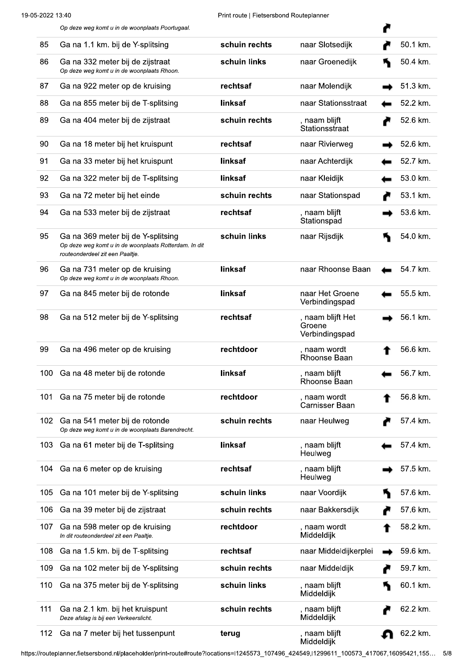|     | Op deze weg komt u in de woonplaats Poortugaal.                                                                                |               |                                               |          |
|-----|--------------------------------------------------------------------------------------------------------------------------------|---------------|-----------------------------------------------|----------|
| 85  | Ga na 1.1 km. bij de Y-splitsing                                                                                               | schuin rechts | naar Slotsedijk                               | 50.1 km. |
| 86  | Ga na 332 meter bij de zijstraat<br>Op deze weg komt u in de woonplaats Rhoon.                                                 | schuin links  | naar Groenedijk                               | 50.4 km. |
| 87  | Ga na 922 meter op de kruising                                                                                                 | rechtsaf      | naar Molendijk                                | 51.3 km. |
| 88  | Ga na 855 meter bij de T-splitsing                                                                                             | linksaf       | naar Stationsstraat                           | 52.2 km. |
| 89  | Ga na 404 meter bij de zijstraat                                                                                               | schuin rechts | , naam blijft<br>Stationsstraat               | 52.6 km. |
| 90  | Ga na 18 meter bij het kruispunt                                                                                               | rechtsaf      | naar Rivierweg                                | 52.6 km. |
| 91  | Ga na 33 meter bij het kruispunt                                                                                               | linksaf       | naar Achterdijk                               | 52.7 km. |
| 92  | Ga na 322 meter bij de T-splitsing                                                                                             | linksaf       | naar Kleidijk                                 | 53.0 km. |
| 93  | Ga na 72 meter bij het einde                                                                                                   | schuin rechts | naar Stationspad                              | 53.1 km. |
| 94  | Ga na 533 meter bij de zijstraat                                                                                               | rechtsaf      | , naam blijft<br>Stationspad                  | 53.6 km. |
| 95  | Ga na 369 meter bij de Y-splitsing<br>Op deze weg komt u in de woonplaats Rotterdam. In dit<br>routeonderdeel zit een Paaltje. | schuin links  | naar Rijsdijk                                 | 54.0 km. |
| 96  | Ga na 731 meter op de kruising<br>Op deze weg komt u in de woonplaats Rhoon.                                                   | linksaf       | naar Rhoonse Baan                             | 54.7 km. |
| 97  | Ga na 845 meter bij de rotonde                                                                                                 | linksaf       | naar Het Groene<br>Verbindingspad             | 55.5 km. |
| 98  | Ga na 512 meter bij de Y-splitsing                                                                                             | rechtsaf      | , naam blijft Het<br>Groene<br>Verbindingspad | 56.1 km. |
| 99  | Ga na 496 meter op de kruising                                                                                                 | rechtdoor     | , naam wordt<br>Rhoonse Baan                  | 56.6 km. |
|     | 100 Ga na 48 meter bij de rotonde                                                                                              | linksaf       | , naam blijft<br>Rhoonse Baan                 | 56.7 km. |
| 101 | Ga na 75 meter bij de rotonde                                                                                                  | rechtdoor     | , naam wordt<br>Carnisser Baan                | 56.8 km. |
| 102 | Ga na 541 meter bij de rotonde<br>Op deze weg komt u in de woonplaats Barendrecht.                                             | schuin rechts | naar Heulweg                                  | 57.4 km. |
| 103 | Ga na 61 meter bij de T-splitsing                                                                                              | linksaf       | , naam blijft<br>Heulweg                      | 57.4 km. |
| 104 | Ga na 6 meter op de kruising                                                                                                   | rechtsaf      | , naam blijft<br>Heulweg                      | 57.5 km. |
| 105 | Ga na 101 meter bij de Y-splitsing                                                                                             | schuin links  | naar Voordijk                                 | 57.6 km. |
| 106 | Ga na 39 meter bij de zijstraat                                                                                                | schuin rechts | naar Bakkersdijk                              | 57.6 km. |
| 107 | Ga na 598 meter op de kruising<br>In dit routeonderdeel zit een Paaltje.                                                       | rechtdoor     | , naam wordt<br>Middeldijk                    | 58.2 km. |
| 108 | Ga na 1.5 km. bij de T-splitsing                                                                                               | rechtsaf      | naar Middeldijkerplei                         | 59.6 km. |
| 109 | Ga na 102 meter bij de Y-splitsing                                                                                             | schuin rechts | naar Middeldijk                               | 59.7 km. |
| 110 | Ga na 375 meter bij de Y-splitsing                                                                                             | schuin links  | , naam blijft<br>Middeldijk                   | 60.1 km. |
| 111 | Ga na 2.1 km. bij het kruispunt<br>Deze afslag is bij een Verkeerslicht.                                                       | schuin rechts | , naam blijft<br>Middeldijk                   | 62.2 km. |
| 112 | Ga na 7 meter bij het tussenpunt                                                                                               | terug         | , naam blijft<br>Middeldijk                   | 62.2 km. |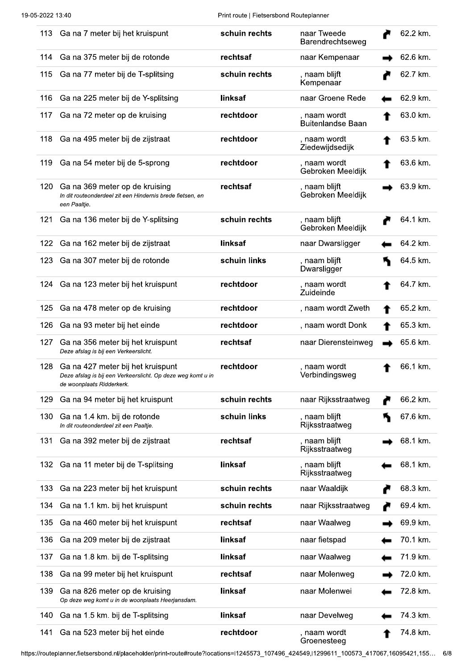| 113 | Ga na 7 meter bij het kruispunt                                                                                               | schuin rechts | naar Tweede<br>Barendrechtseweg          | 62.2 km. |
|-----|-------------------------------------------------------------------------------------------------------------------------------|---------------|------------------------------------------|----------|
| 114 | Ga na 375 meter bij de rotonde                                                                                                | rechtsaf      | naar Kempenaar                           | 62.6 km. |
| 115 | Ga na 77 meter bij de T-splitsing                                                                                             | schuin rechts | , naam blijft<br>Kempenaar               | 62.7 km. |
| 116 | Ga na 225 meter bij de Y-splitsing                                                                                            | linksaf       | naar Groene Rede                         | 62.9 km. |
| 117 | Ga na 72 meter op de kruising                                                                                                 | rechtdoor     | , naam wordt<br><b>Buitenlandse Baan</b> | 63.0 km. |
| 118 | Ga na 495 meter bij de zijstraat                                                                                              | rechtdoor     | , naam wordt<br>Ziedewijdsedijk          | 63.5 km. |
| 119 | Ga na 54 meter bij de 5-sprong                                                                                                | rechtdoor     | , naam wordt<br>Gebroken Meeldijk        | 63.6 km. |
| 120 | Ga na 369 meter op de kruising<br>In dit routeonderdeel zit een Hindernis brede fietsen, en<br>een Paaltje.                   | rechtsaf      | , naam blijft<br>Gebroken Meeldijk       | 63.9 km. |
| 121 | Ga na 136 meter bij de Y-splitsing                                                                                            | schuin rechts | , naam blijft<br>Gebroken Meeldijk       | 64.1 km. |
| 122 | Ga na 162 meter bij de zijstraat                                                                                              | linksaf       | naar Dwarsligger                         | 64.2 km. |
| 123 | Ga na 307 meter bij de rotonde                                                                                                | schuin links  | , naam blijft<br>Dwarsligger             | 64.5 km. |
| 124 | Ga na 123 meter bij het kruispunt                                                                                             | rechtdoor     | , naam wordt<br>Zuideinde                | 64.7 km. |
| 125 | Ga na 478 meter op de kruising                                                                                                | rechtdoor     | , naam wordt Zweth                       | 65.2 km. |
| 126 | Ga na 93 meter bij het einde                                                                                                  | rechtdoor     | , naam wordt Donk                        | 65.3 km. |
| 127 | Ga na 356 meter bij het kruispunt<br>Deze afslag is bij een Verkeerslicht.                                                    | rechtsaf      | naar Dierensteinweg                      | 65.6 km. |
| 128 | Ga na 427 meter bij het kruispunt<br>Deze afslag is bij een Verkeerslicht. Op deze weg komt u in<br>de woonplaats Ridderkerk. | rechtdoor     | , naam wordt<br>Verbindingsweg           | 66.1 km. |
| 129 | Ga na 94 meter bij het kruispunt                                                                                              | schuin rechts | naar Rijksstraatweg                      | 66.2 km. |
| 130 | Ga na 1.4 km. bij de rotonde<br>In dit routeonderdeel zit een Paaltje.                                                        | schuin links  | , naam blijft<br>Rijksstraatweg          | 67.6 km. |
| 131 | Ga na 392 meter bij de zijstraat                                                                                              | rechtsaf      | , naam blijft<br>Rijksstraatweg          | 68.1 km. |
| 132 | Ga na 11 meter bij de T-splitsing                                                                                             | linksaf       | , naam blijft<br>Rijksstraatweg          | 68.1 km. |
| 133 | Ga na 223 meter bij het kruispunt                                                                                             | schuin rechts | naar Waaldijk                            | 68.3 km. |
| 134 | Ga na 1.1 km. bij het kruispunt                                                                                               | schuin rechts | naar Rijksstraatweg                      | 69.4 km. |
| 135 | Ga na 460 meter bij het kruispunt                                                                                             | rechtsaf      | naar Waalweg                             | 69.9 km. |
| 136 | Ga na 209 meter bij de zijstraat                                                                                              | linksaf       | naar fietspad                            | 70.1 km. |
| 137 | Ga na 1.8 km. bij de T-splitsing                                                                                              | linksaf       | naar Waalweg                             | 71.9 km. |
| 138 | Ga na 99 meter bij het kruispunt                                                                                              | rechtsaf      | naar Molenweg                            | 72.0 km. |
| 139 | Ga na 826 meter op de kruising<br>Op deze weg komt u in de woonplaats Heerjansdam.                                            | linksaf       | naar Molenwei                            | 72.8 km. |
| 140 | Ga na 1.5 km. bij de T-splitsing                                                                                              | linksaf       | naar Develweg                            | 74.3 km. |
| 141 | Ga na 523 meter bij het einde                                                                                                 | rechtdoor     | , naam wordt<br>Groenesteeg              | 74.8 km. |

https://routeplanner.fietsersbond.nl/placeholder/print-route#route?locations=l1245573\_107496\_424549,l1299611\_100573\_417067,16095421,155... 6/8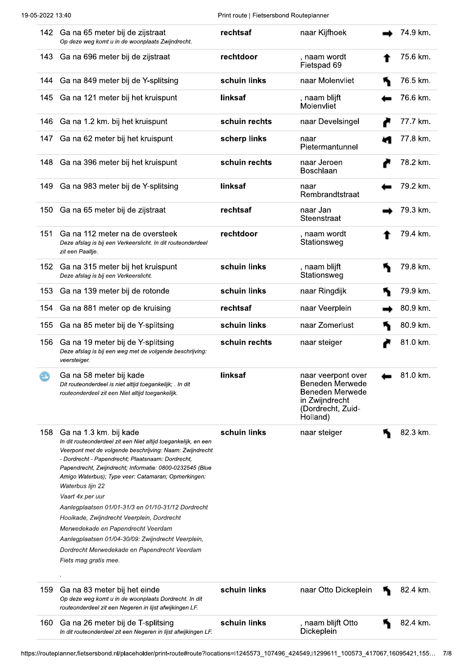|     | 142 Ga na 65 meter bij de zijstraat<br>Op deze weg komt u in de woonplaats Zwijndrecht.                                                                                                                                                                                                                                                                                                                                                                                                                                                                                                                                                       | rechtsaf      | naar Kijfhoek                                                                                                      | 74.9 km. |
|-----|-----------------------------------------------------------------------------------------------------------------------------------------------------------------------------------------------------------------------------------------------------------------------------------------------------------------------------------------------------------------------------------------------------------------------------------------------------------------------------------------------------------------------------------------------------------------------------------------------------------------------------------------------|---------------|--------------------------------------------------------------------------------------------------------------------|----------|
| 143 | Ga na 696 meter bij de zijstraat                                                                                                                                                                                                                                                                                                                                                                                                                                                                                                                                                                                                              | rechtdoor     | , naam wordt<br>Fietspad 69                                                                                        | 75.6 km. |
| 144 | Ga na 849 meter bij de Y-splitsing                                                                                                                                                                                                                                                                                                                                                                                                                                                                                                                                                                                                            | schuin links  | naar Molenvliet                                                                                                    | 76.5 km. |
| 145 | Ga na 121 meter bij het kruispunt                                                                                                                                                                                                                                                                                                                                                                                                                                                                                                                                                                                                             | linksaf       | , naam blijft<br>Molenvliet                                                                                        | 76.6 km. |
| 146 | Ga na 1.2 km. bij het kruispunt                                                                                                                                                                                                                                                                                                                                                                                                                                                                                                                                                                                                               | schuin rechts | naar Develsingel                                                                                                   | 77.7 km. |
| 147 | Ga na 62 meter bij het kruispunt                                                                                                                                                                                                                                                                                                                                                                                                                                                                                                                                                                                                              | scherp links  | naar<br>Pietermantunnel                                                                                            | 77.8 km. |
| 148 | Ga na 396 meter bij het kruispunt                                                                                                                                                                                                                                                                                                                                                                                                                                                                                                                                                                                                             | schuin rechts | naar Jeroen<br>Boschlaan                                                                                           | 78.2 km. |
| 149 | Ga na 983 meter bij de Y-splitsing                                                                                                                                                                                                                                                                                                                                                                                                                                                                                                                                                                                                            | linksaf       | naar<br>Rembrandtstraat                                                                                            | 79.2 km. |
| 150 | Ga na 65 meter bij de zijstraat                                                                                                                                                                                                                                                                                                                                                                                                                                                                                                                                                                                                               | rechtsaf      | naar Jan<br>Steenstraat                                                                                            | 79.3 km. |
| 151 | Ga na 112 meter na de oversteek<br>Deze afslag is bij een Verkeerslicht. In dit routeonderdeel<br>zit een Paaltje.                                                                                                                                                                                                                                                                                                                                                                                                                                                                                                                            | rechtdoor     | , naam wordt<br>Stationsweg                                                                                        | 79.4 km. |
| 152 | Ga na 315 meter bij het kruispunt<br>Deze afslag is bij een Verkeerslicht.                                                                                                                                                                                                                                                                                                                                                                                                                                                                                                                                                                    | schuin links  | , naam blijft<br>Stationsweg                                                                                       | 79.8 km. |
| 153 | Ga na 139 meter bij de rotonde                                                                                                                                                                                                                                                                                                                                                                                                                                                                                                                                                                                                                | schuin links  | naar Ringdijk                                                                                                      | 79.9 km. |
| 154 | Ga na 881 meter op de kruising                                                                                                                                                                                                                                                                                                                                                                                                                                                                                                                                                                                                                | rechtsaf      | naar Veerplein                                                                                                     | 80.9 km. |
| 155 | Ga na 85 meter bij de Y-splitsing                                                                                                                                                                                                                                                                                                                                                                                                                                                                                                                                                                                                             | schuin links  | naar Zomerlust                                                                                                     | 80.9 km. |
| 156 | Ga na 19 meter bij de Y-splitsing<br>Deze afslag is bij een weg met de volgende beschrijving:<br>veersteiger.                                                                                                                                                                                                                                                                                                                                                                                                                                                                                                                                 | schuin rechts | naar steiger                                                                                                       | 81.0 km. |
| īΕ, | Ga na 58 meter bij kade<br>Dit routeonderdeel is niet altijd toegankelijk; . In dit<br>routeonderdeel zit een Niet altijd toegankelijk.                                                                                                                                                                                                                                                                                                                                                                                                                                                                                                       | linksaf       | naar veerpont over<br><b>Beneden Merwede</b><br>Beneden Merwede<br>in Zwijndrecht<br>(Dordrecht, Zuid-<br>Holland) | 81.0 km. |
| 158 | Ga na 1.3 km. bij kade<br>In dit routeonderdeel zit een Niet altijd toegankelijk, en een<br>Veerpont met de volgende beschrijving: Naam: Zwijndrecht<br>- Dordrecht - Papendrecht; Plaatsnaam: Dordrecht,<br>Papendrecht, Zwijndrecht; Informatie: 0800-0232545 (Blue<br>Amigo Waterbus); Type veer: Catamaran; Opmerkingen:<br>Waterbus lijn 22<br>Vaart 4x per uur<br>Aanlegplaatsen 01/01-31/3 en 01/10-31/12 Dordrecht<br>Hooikade, Zwijndrecht Veerplein, Dordrecht<br>Merwedekade en Papendrecht Veerdam<br>Aanlegplaatsen 01/04-30/09: Zwijndrecht Veerplein,<br>Dordrecht Merwedekade en Papendrecht Veerdam<br>Fiets mag gratis mee. | schuin links  | naar steiger                                                                                                       | 82.3 km. |
| 159 | Ga na 83 meter bij het einde<br>Op deze weg komt u in de woonplaats Dordrecht. In dit<br>routeonderdeel zit een Negeren in lijst afwijkingen LF.                                                                                                                                                                                                                                                                                                                                                                                                                                                                                              | schuin links  | naar Otto Dickeplein                                                                                               | 82.4 km. |
| 160 | Ga na 26 meter bij de T-splitsing<br>In dit routeonderdeel zit een Negeren in lijst afwijkingen LF.                                                                                                                                                                                                                                                                                                                                                                                                                                                                                                                                           | schuin links  | , naam blijft Otto<br>Dickeplein                                                                                   | 82.4 km. |